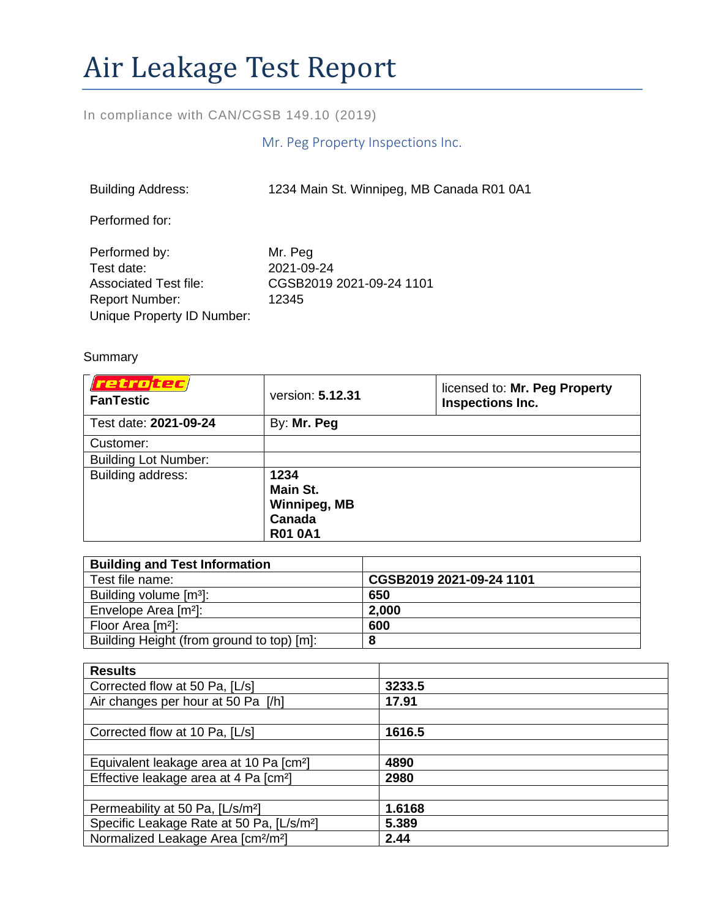# Air Leakage Test Report

## In compliance with CAN/CGSB 149.10 (2019)

## Mr. Peg Property Inspections Inc.

| <b>Building Address:</b>                                                                                           | 1234 Main St. Winnipeg, MB Canada R01 0A1                  |
|--------------------------------------------------------------------------------------------------------------------|------------------------------------------------------------|
| Performed for:                                                                                                     |                                                            |
| Performed by:<br>Test date:<br><b>Associated Test file:</b><br><b>Report Number:</b><br>Unique Property ID Number: | Mr. Peg<br>2021-09-24<br>CGSB2019 2021-09-24 1101<br>12345 |

#### Summary

| <i>retrotec</i><br><b>FanTestic</b> | version: 5.12.31                                                    | licensed to: Mr. Peg Property<br>Inspections Inc. |
|-------------------------------------|---------------------------------------------------------------------|---------------------------------------------------|
| Test date: 2021-09-24               | By: Mr. Peg                                                         |                                                   |
| Customer:                           |                                                                     |                                                   |
| <b>Building Lot Number:</b>         |                                                                     |                                                   |
| Building address:                   | 1234<br>Main St.<br><b>Winnipeg, MB</b><br>Canada<br><b>R01 0A1</b> |                                                   |

| <b>Building and Test Information</b>      |                          |
|-------------------------------------------|--------------------------|
| Test file name:                           | CGSB2019 2021-09-24 1101 |
| Building volume [m <sup>3</sup> ]:        | 650                      |
| Envelope Area [m <sup>2</sup> ]:          | 2,000                    |
| Floor Area [m <sup>2</sup> ]:             | 600                      |
| Building Height (from ground to top) [m]: | 8                        |

| <b>Results</b>                                             |        |
|------------------------------------------------------------|--------|
| Corrected flow at 50 Pa, [L/s]                             | 3233.5 |
| Air changes per hour at 50 Pa [/h]                         | 17.91  |
|                                                            |        |
| Corrected flow at 10 Pa, [L/s]                             | 1616.5 |
|                                                            |        |
| Equivalent leakage area at 10 Pa [cm <sup>2</sup> ]        | 4890   |
| Effective leakage area at 4 Pa [cm <sup>2</sup> ]          | 2980   |
|                                                            |        |
| Permeability at 50 Pa, [L/s/m <sup>2</sup> ]               | 1.6168 |
| Specific Leakage Rate at 50 Pa, [L/s/m <sup>2</sup> ]      | 5.389  |
| Normalized Leakage Area [cm <sup>2</sup> /m <sup>2</sup> ] | 2.44   |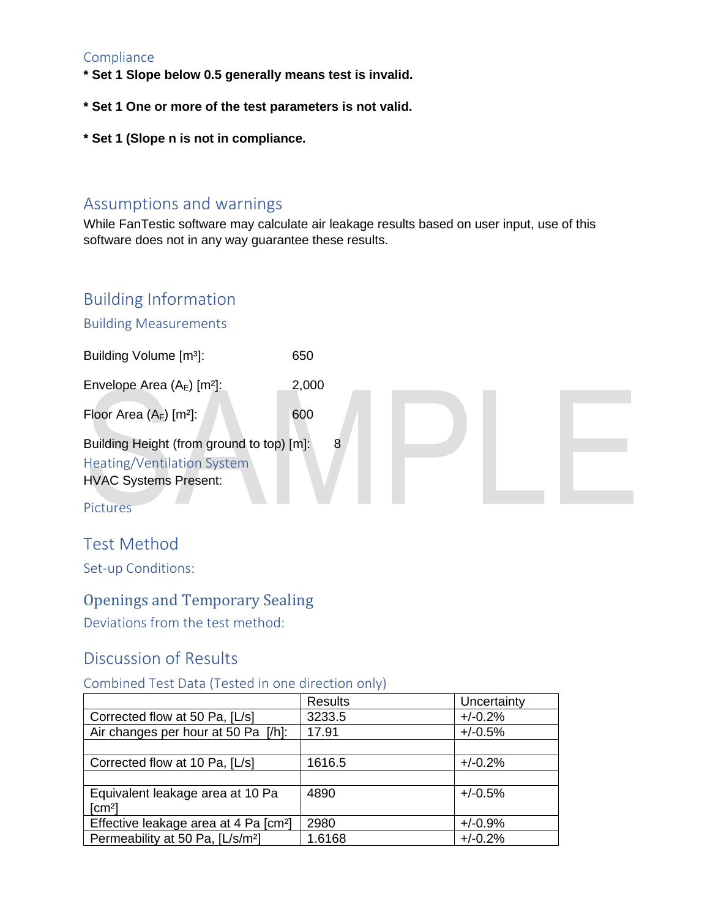#### **Compliance**

- **\* Set 1 Slope below 0.5 generally means test is invalid.**
- **\* Set 1 One or more of the test parameters is not valid.**
- **\* Set 1 (Slope n is not in compliance.**

## Assumptions and warnings

While FanTestic software may calculate air leakage results based on user input, use of this software does not in any way guarantee these results.

## Building Information

#### Building Measurements



## Test Method

Set-up Conditions:

## Openings and Temporary Sealing

Deviations from the test method:

## Discussion of Results

#### Combined Test Data (Tested in one direction only)

|                                                   | <b>Results</b> | Uncertainty |
|---------------------------------------------------|----------------|-------------|
| Corrected flow at 50 Pa, [L/s]                    | 3233.5         | $+/-0.2%$   |
| Air changes per hour at 50 Pa [/h]:               | 17.91          | $+/-0.5%$   |
|                                                   |                |             |
| Corrected flow at 10 Pa, [L/s]                    | 1616.5         | $+/-0.2%$   |
|                                                   |                |             |
| Equivalent leakage area at 10 Pa                  | 4890           | $+/-0.5%$   |
| [cm <sup>2</sup> ]                                |                |             |
| Effective leakage area at 4 Pa [cm <sup>2</sup> ] | 2980           | $+/-0.9%$   |
| Permeability at 50 Pa, [L/s/m <sup>2</sup> ]      | 1.6168         | $+/-0.2%$   |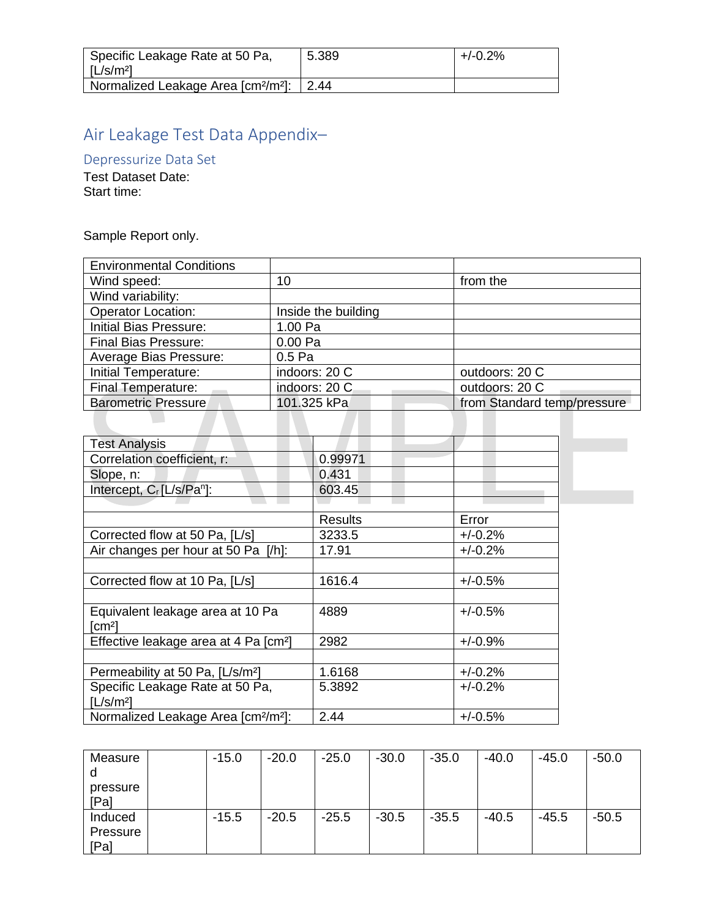| Specific Leakage Rate at 50 Pa,<br>[L/s/m <sup>2</sup> ]         | 5.389 | $+/-0.2%$ |
|------------------------------------------------------------------|-------|-----------|
| Normalized Leakage Area [cm <sup>2</sup> /m <sup>2</sup> ]: 2.44 |       |           |

## Air Leakage Test Data Appendix–

Depressurize Data Set

Test Dataset Date: Start time:

Sample Report only.

| <b>Environmental Conditions</b> |                     |                             |
|---------------------------------|---------------------|-----------------------------|
| Wind speed:                     | 10                  | from the                    |
| Wind variability:               |                     |                             |
| <b>Operator Location:</b>       | Inside the building |                             |
| <b>Initial Bias Pressure:</b>   | 1.00 Pa             |                             |
| <b>Final Bias Pressure:</b>     | 0.00 Pa             |                             |
| Average Bias Pressure:          | 0.5 <sub>Pa</sub>   |                             |
| Initial Temperature:            | indoors: 20 C       | outdoors: 20 C              |
| <b>Final Temperature:</b>       | indoors: 20 C       | outdoors: 20 C              |
| Barometric Pressure             | 101.325 kPa         | from Standard temp/pressure |
|                                 |                     |                             |

| <b>Test Analysis</b>                                        |                |           |
|-------------------------------------------------------------|----------------|-----------|
| Correlation coefficient, r:                                 | 0.99971        |           |
| Slope, n:                                                   | 0.431          |           |
| Intercept, C <sub>r</sub> [L/s/Pa <sup>n</sup> ]:           | 603.45         |           |
|                                                             |                |           |
|                                                             | <b>Results</b> | Error     |
| Corrected flow at 50 Pa, [L/s]                              | 3233.5         | $+/-0.2%$ |
| Air changes per hour at 50 Pa [/h]:                         | 17.91          | $+/-0.2%$ |
|                                                             |                |           |
| Corrected flow at 10 Pa, [L/s]                              | 1616.4         | $+/-0.5%$ |
|                                                             |                |           |
| Equivalent leakage area at 10 Pa                            | 4889           | $+/-0.5%$ |
| $\lceil$ cm <sup>2</sup> $\rceil$                           |                |           |
| Effective leakage area at 4 Pa [cm <sup>2</sup> ]           | 2982           | $+/-0.9%$ |
|                                                             |                |           |
| Permeability at 50 Pa, [L/s/m <sup>2</sup> ]                | 1.6168         | $+/-0.2%$ |
| Specific Leakage Rate at 50 Pa,                             | 5.3892         | $+/-0.2%$ |
| [L/s/m <sup>2</sup> ]                                       |                |           |
| Normalized Leakage Area [cm <sup>2</sup> /m <sup>2</sup> ]: | 2.44           | $+/-0.5%$ |

| Measure  | $-15.0$ | $-20.0$ | $-25.0$ | $-30.0$ | $-35.0$ | $-40.0$ | $-45.0$ | $-50.0$ |
|----------|---------|---------|---------|---------|---------|---------|---------|---------|
|          |         |         |         |         |         |         |         |         |
| pressure |         |         |         |         |         |         |         |         |
| [Pa]     |         |         |         |         |         |         |         |         |
| Induced  | $-15.5$ | $-20.5$ | $-25.5$ | $-30.5$ | $-35.5$ | $-40.5$ | $-45.5$ | $-50.5$ |
| Pressure |         |         |         |         |         |         |         |         |
| [Pa]     |         |         |         |         |         |         |         |         |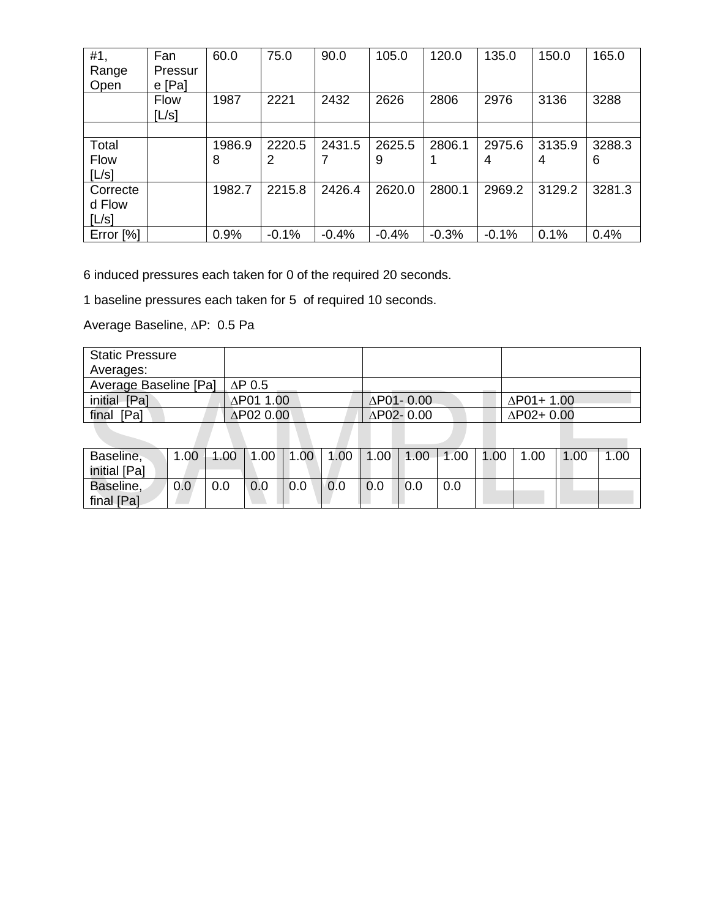| #1,         | Fan         | 60.0   | 75.0    | 90.0    | 105.0   | 120.0   | 135.0   | 150.0  | 165.0  |
|-------------|-------------|--------|---------|---------|---------|---------|---------|--------|--------|
| Range       | Pressur     |        |         |         |         |         |         |        |        |
| Open        | $e$ [Pa]    |        |         |         |         |         |         |        |        |
|             | <b>Flow</b> | 1987   | 2221    | 2432    | 2626    | 2806    | 2976    | 3136   | 3288   |
|             | [L/s]       |        |         |         |         |         |         |        |        |
|             |             |        |         |         |         |         |         |        |        |
| Total       |             | 1986.9 | 2220.5  | 2431.5  | 2625.5  | 2806.1  | 2975.6  | 3135.9 | 3288.3 |
| <b>Flow</b> |             | 8      | 2       |         | 9       |         | 4       | 4      | 6      |
| [L/s]       |             |        |         |         |         |         |         |        |        |
| Correcte    |             | 1982.7 | 2215.8  | 2426.4  | 2620.0  | 2800.1  | 2969.2  | 3129.2 | 3281.3 |
| d Flow      |             |        |         |         |         |         |         |        |        |
| [L/s]       |             |        |         |         |         |         |         |        |        |
| Error [%]   |             | 0.9%   | $-0.1%$ | $-0.4%$ | $-0.4%$ | $-0.3%$ | $-0.1%$ | 0.1%   | 0.4%   |

6 induced pressures each taken for 0 of the required 20 seconds.

1 baseline pressures each taken for 5 of required 10 seconds.

Average Baseline, ∆P: 0.5 Pa

| <b>Static Pressure</b> |                   |                   |                   |
|------------------------|-------------------|-------------------|-------------------|
| Averages:              |                   |                   |                   |
| Average Baseline [Pa]  | $\Delta$ P 0.5    |                   |                   |
| initial [Pa]           | ΔP01 1.00         | $\Delta$ P01-0.00 | $\Delta$ P01+1.00 |
| final [Pa]             | $\Delta$ P02 0.00 | $\Delta$ P02-0.00 | $\Delta$ P02+0.00 |
|                        |                   |                   |                   |

| Baseline,    |     | $1.00$   $1.00$ |     |     |     |  | $\mid$ 1.00 $\mid$ 1.00 $\mid$ 1.00 $\mid$ 1.00 $\mid$ 1.00 $\mid$ 1.00 $\mid$ 1.00 | 1.00 | $\vert$ 1.00 | 1.00 |
|--------------|-----|-----------------|-----|-----|-----|--|-------------------------------------------------------------------------------------|------|--------------|------|
| initial [Pa] |     |                 |     |     |     |  |                                                                                     |      |              |      |
| Baseline,    | 0.0 | 0.0             | 0.0 | 0.0 | 0.0 |  | 0.0                                                                                 |      |              |      |
| final [Pa]   |     |                 |     |     |     |  |                                                                                     |      |              |      |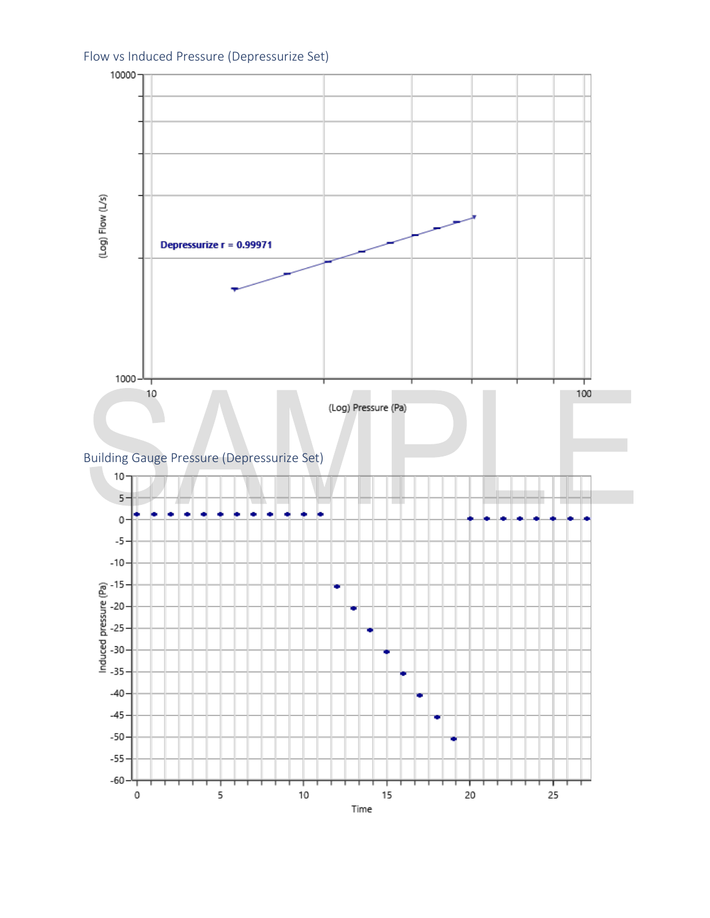

Flow vs Induced Pressure (Depressurize Set)